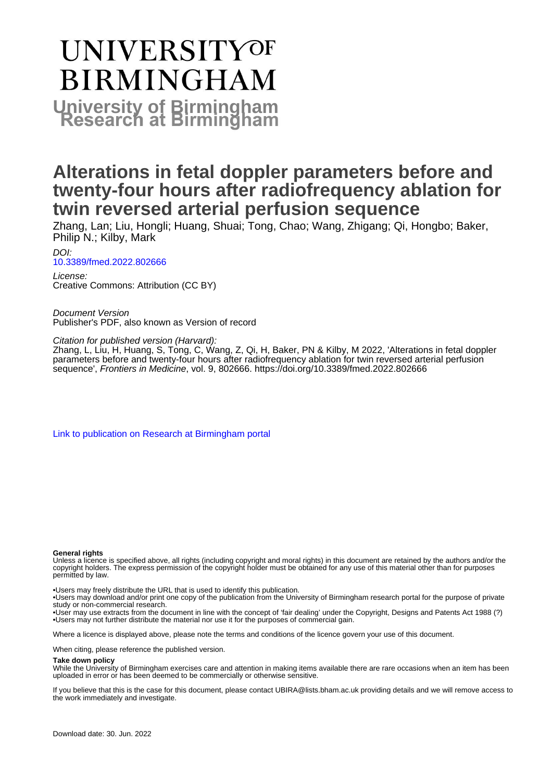# **UNIVERSITYOF BIRMINGHAM University of Birmingham**

## **Alterations in fetal doppler parameters before and twenty-four hours after radiofrequency ablation for twin reversed arterial perfusion sequence**

Zhang, Lan; Liu, Hongli; Huang, Shuai; Tong, Chao; Wang, Zhigang; Qi, Hongbo; Baker, Philip N.; Kilby, Mark

DOI: [10.3389/fmed.2022.802666](https://doi.org/10.3389/fmed.2022.802666)

License: Creative Commons: Attribution (CC BY)

Document Version Publisher's PDF, also known as Version of record

Citation for published version (Harvard):

Zhang, L, Liu, H, Huang, S, Tong, C, Wang, Z, Qi, H, Baker, PN & Kilby, M 2022, 'Alterations in fetal doppler parameters before and twenty-four hours after radiofrequency ablation for twin reversed arterial perfusion sequence', Frontiers in Medicine, vol. 9, 802666. <https://doi.org/10.3389/fmed.2022.802666>

[Link to publication on Research at Birmingham portal](https://birmingham.elsevierpure.com/en/publications/248038ac-7873-4a98-b12c-d37a1f85b585)

#### **General rights**

Unless a licence is specified above, all rights (including copyright and moral rights) in this document are retained by the authors and/or the copyright holders. The express permission of the copyright holder must be obtained for any use of this material other than for purposes permitted by law.

• Users may freely distribute the URL that is used to identify this publication.

• Users may download and/or print one copy of the publication from the University of Birmingham research portal for the purpose of private study or non-commercial research.

• User may use extracts from the document in line with the concept of 'fair dealing' under the Copyright, Designs and Patents Act 1988 (?) • Users may not further distribute the material nor use it for the purposes of commercial gain.

Where a licence is displayed above, please note the terms and conditions of the licence govern your use of this document.

When citing, please reference the published version.

#### **Take down policy**

While the University of Birmingham exercises care and attention in making items available there are rare occasions when an item has been uploaded in error or has been deemed to be commercially or otherwise sensitive.

If you believe that this is the case for this document, please contact UBIRA@lists.bham.ac.uk providing details and we will remove access to the work immediately and investigate.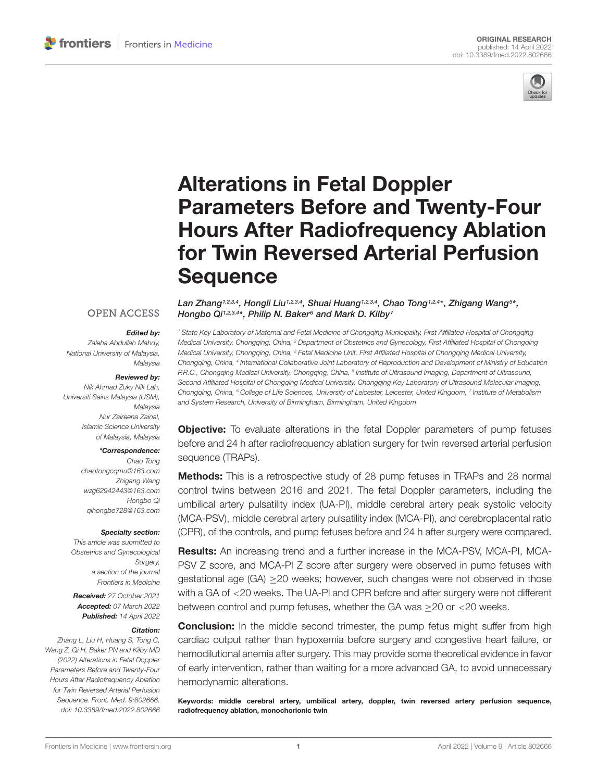

## Alterations in Fetal Doppler Parameters Before and Twenty-Four [Hours After Radiofrequency Ablation](https://www.frontiersin.org/articles/10.3389/fmed.2022.802666/full) for Twin Reversed Arterial Perfusion **Sequence**

#### **OPEN ACCESS**

#### Edited by:

Zaleha Abdullah Mahdy, National University of Malaysia, Malaysia

#### Reviewed by:

Nik Ahmad Zuky Nik Lah, Universiti Sains Malaysia (USM), Malaysia Nur Zaireena Zainal, Islamic Science University of Malaysia, Malaysia

#### \*Correspondence:

Chao Tong chaotongcqmu@163.com Zhigang Wang wzg62942443@163.com Hongbo Qi qihongbo728@163.com

#### Specialty section:

This article was submitted to Obstetrics and Gynecological Surgery, a section of the journal Frontiers in Medicine

Received: 27 October 2021 Accepted: 07 March 2022 Published: 14 April 2022

#### Citation:

Zhang L, Liu H, Huang S, Tong C, Wang Z, Qi H, Baker PN and Kilby MD (2022) Alterations in Fetal Doppler Parameters Before and Twenty-Four Hours After Radiofrequency Ablation for Twin Reversed Arterial Perfusion Sequence. Front. Med. 9:802666. doi: [10.3389/fmed.2022.802666](https://doi.org/10.3389/fmed.2022.802666) Lan Zhang1,2,3,4, Hongli Liu1,2,3,4, Shuai Huang1,2,3,4, Chao Tong1,2,4\*, Zhigang Wang<sup>s\*</sup>, Hongbo Qi1,2,3,4 \*, Philip N. Baker<sup>6</sup> and Mark D. Kilby<sup>7</sup>

<sup>1</sup> State Key Laboratory of Maternal and Fetal Medicine of Chongqing Municipality, First Affiliated Hospital of Chongqing Medical University, Chongqing, China, <sup>2</sup> Department of Obstetrics and Gynecology, First Affiliated Hospital of Chongqing Medical University, Chongqing, China, <sup>3</sup> Fetal Medicine Unit, First Affiliated Hospital of Chongqing Medical University, Chongqing, China, <sup>4</sup> International Collaborative Joint Laboratory of Reproduction and Development of Ministry of Education P.R.C., Chongqing Medical University, Chongqing, China, <sup>5</sup> Institute of Ultrasound Imaging, Department of Ultrasound, Second Affiliated Hospital of Chongqing Medical University, Chongqing Key Laboratory of Ultrasound Molecular Imaging, Chongqing, China, <sup>6</sup> College of Life Sciences, University of Leicester, Leicester, United Kingdom, <sup>7</sup> Institute of Metabolism and System Research, University of Birmingham, Birmingham, United Kingdom

**Objective:** To evaluate alterations in the fetal Doppler parameters of pump fetuses before and 24 h after radiofrequency ablation surgery for twin reversed arterial perfusion sequence (TRAPs).

**Methods:** This is a retrospective study of 28 pump fetuses in TRAPs and 28 normal control twins between 2016 and 2021. The fetal Doppler parameters, including the umbilical artery pulsatility index (UA-PI), middle cerebral artery peak systolic velocity (MCA-PSV), middle cerebral artery pulsatility index (MCA-PI), and cerebroplacental ratio (CPR), of the controls, and pump fetuses before and 24 h after surgery were compared.

Results: An increasing trend and a further increase in the MCA-PSV, MCA-PI, MCA-PSV Z score, and MCA-PI Z score after surgery were observed in pump fetuses with gestational age (GA) ≥20 weeks; however, such changes were not observed in those with a GA of <20 weeks. The UA-PI and CPR before and after surgery were not different between control and pump fetuses, whether the GA was >20 or <20 weeks.

**Conclusion:** In the middle second trimester, the pump fetus might suffer from high cardiac output rather than hypoxemia before surgery and congestive heart failure, or hemodilutional anemia after surgery. This may provide some theoretical evidence in favor of early intervention, rather than waiting for a more advanced GA, to avoid unnecessary hemodynamic alterations.

Keywords: middle cerebral artery, umbilical artery, doppler, twin reversed artery perfusion sequence, radiofrequency ablation, monochorionic twin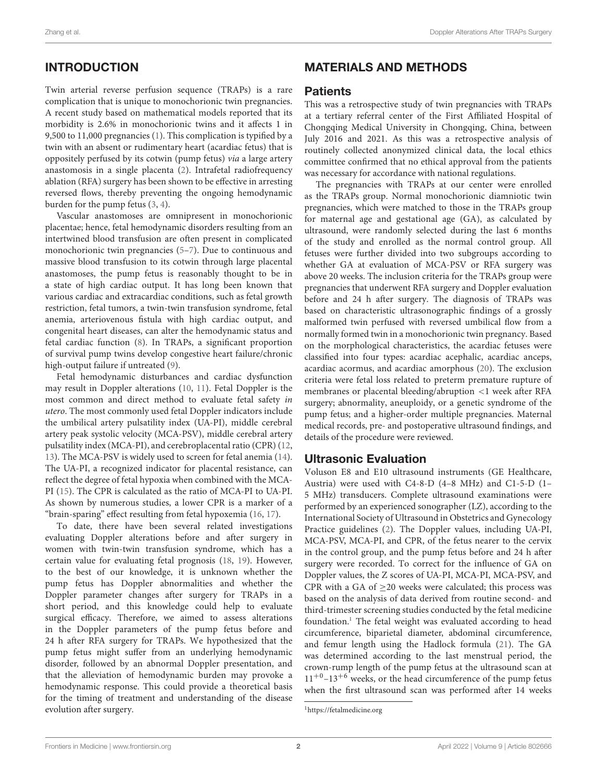### INTRODUCTION

Twin arterial reverse perfusion sequence (TRAPs) is a rare complication that is unique to monochorionic twin pregnancies. A recent study based on mathematical models reported that its morbidity is 2.6% in monochorionic twins and it affects 1 in 9,500 to 11,000 pregnancies [\(1\)](#page-7-0). This complication is typified by a twin with an absent or rudimentary heart (acardiac fetus) that is oppositely perfused by its cotwin (pump fetus) via a large artery anastomosis in a single placenta [\(2\)](#page-7-1). Intrafetal radiofrequency ablation (RFA) surgery has been shown to be effective in arresting reversed flows, thereby preventing the ongoing hemodynamic burden for the pump fetus [\(3,](#page-7-2) [4\)](#page-7-3).

Vascular anastomoses are omnipresent in monochorionic placentae; hence, fetal hemodynamic disorders resulting from an intertwined blood transfusion are often present in complicated monochorionic twin pregnancies [\(5–](#page-7-4)[7\)](#page-7-5). Due to continuous and massive blood transfusion to its cotwin through large placental anastomoses, the pump fetus is reasonably thought to be in a state of high cardiac output. It has long been known that various cardiac and extracardiac conditions, such as fetal growth restriction, fetal tumors, a twin-twin transfusion syndrome, fetal anemia, arteriovenous fistula with high cardiac output, and congenital heart diseases, can alter the hemodynamic status and fetal cardiac function [\(8\)](#page-7-6). In TRAPs, a significant proportion of survival pump twins develop congestive heart failure/chronic high-output failure if untreated [\(9\)](#page-7-7).

Fetal hemodynamic disturbances and cardiac dysfunction may result in Doppler alterations [\(10,](#page-7-8) [11\)](#page-7-9). Fetal Doppler is the most common and direct method to evaluate fetal safety in utero. The most commonly used fetal Doppler indicators include the umbilical artery pulsatility index (UA-PI), middle cerebral artery peak systolic velocity (MCA-PSV), middle cerebral artery pulsatility index (MCA-PI), and cerebroplacental ratio (CPR) [\(12,](#page-7-10) [13\)](#page-7-11). The MCA-PSV is widely used to screen for fetal anemia [\(14\)](#page-7-12). The UA-PI, a recognized indicator for placental resistance, can reflect the degree of fetal hypoxia when combined with the MCA-PI [\(15\)](#page-7-13). The CPR is calculated as the ratio of MCA-PI to UA-PI. As shown by numerous studies, a lower CPR is a marker of a "brain-sparing" effect resulting from fetal hypoxemia [\(16,](#page-7-14) [17\)](#page-7-15).

To date, there have been several related investigations evaluating Doppler alterations before and after surgery in women with twin-twin transfusion syndrome, which has a certain value for evaluating fetal prognosis [\(18,](#page-7-16) [19\)](#page-7-17). However, to the best of our knowledge, it is unknown whether the pump fetus has Doppler abnormalities and whether the Doppler parameter changes after surgery for TRAPs in a short period, and this knowledge could help to evaluate surgical efficacy. Therefore, we aimed to assess alterations in the Doppler parameters of the pump fetus before and 24 h after RFA surgery for TRAPs. We hypothesized that the pump fetus might suffer from an underlying hemodynamic disorder, followed by an abnormal Doppler presentation, and that the alleviation of hemodynamic burden may provoke a hemodynamic response. This could provide a theoretical basis for the timing of treatment and understanding of the disease evolution after surgery.

#### MATERIALS AND METHODS

#### **Patients**

This was a retrospective study of twin pregnancies with TRAPs at a tertiary referral center of the First Affiliated Hospital of Chongqing Medical University in Chongqing, China, between July 2016 and 2021. As this was a retrospective analysis of routinely collected anonymized clinical data, the local ethics committee confirmed that no ethical approval from the patients was necessary for accordance with national regulations.

The pregnancies with TRAPs at our center were enrolled as the TRAPs group. Normal monochorionic diamniotic twin pregnancies, which were matched to those in the TRAPs group for maternal age and gestational age (GA), as calculated by ultrasound, were randomly selected during the last 6 months of the study and enrolled as the normal control group. All fetuses were further divided into two subgroups according to whether GA at evaluation of MCA-PSV or RFA surgery was above 20 weeks. The inclusion criteria for the TRAPs group were pregnancies that underwent RFA surgery and Doppler evaluation before and 24 h after surgery. The diagnosis of TRAPs was based on characteristic ultrasonographic findings of a grossly malformed twin perfused with reversed umbilical flow from a normally formed twin in a monochorionic twin pregnancy. Based on the morphological characteristics, the acardiac fetuses were classified into four types: acardiac acephalic, acardiac anceps, acardiac acormus, and acardiac amorphous [\(20\)](#page-7-18). The exclusion criteria were fetal loss related to preterm premature rupture of membranes or placental bleeding/abruption <1 week after RFA surgery; abnormality, aneuploidy, or a genetic syndrome of the pump fetus; and a higher-order multiple pregnancies. Maternal medical records, pre- and postoperative ultrasound findings, and details of the procedure were reviewed.

#### Ultrasonic Evaluation

Voluson E8 and E10 ultrasound instruments (GE Healthcare, Austria) were used with C4-8-D (4–8 MHz) and C1-5-D (1– 5 MHz) transducers. Complete ultrasound examinations were performed by an experienced sonographer (LZ), according to the International Society of Ultrasound in Obstetrics and Gynecology Practice guidelines [\(2\)](#page-7-1). The Doppler values, including UA-PI, MCA-PSV, MCA-PI, and CPR, of the fetus nearer to the cervix in the control group, and the pump fetus before and 24 h after surgery were recorded. To correct for the influence of GA on Doppler values, the Z scores of UA-PI, MCA-PI, MCA-PSV, and CPR with a GA of  $\geq$ 20 weeks were calculated; this process was based on the analysis of data derived from routine second- and third-trimester screening studies conducted by the fetal medicine foundation.<sup>[1](#page-2-0)</sup> The fetal weight was evaluated according to head circumference, biparietal diameter, abdominal circumference, and femur length using the Hadlock formula [\(21\)](#page-7-19). The GA was determined according to the last menstrual period, the crown-rump length of the pump fetus at the ultrasound scan at  $11^{+0}$ – $13^{+6}$  weeks, or the head circumference of the pump fetus when the first ultrasound scan was performed after 14 weeks

<span id="page-2-0"></span><sup>1</sup><https://fetalmedicine.org>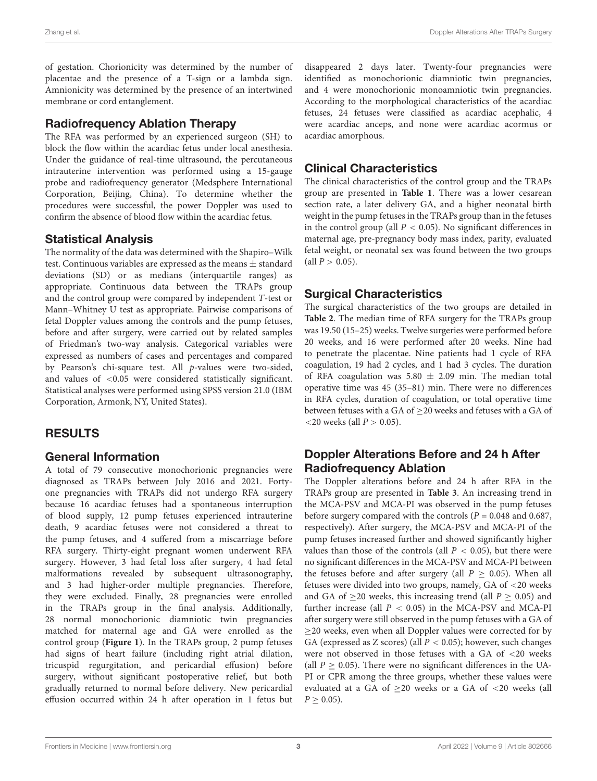of gestation. Chorionicity was determined by the number of placentae and the presence of a T-sign or a lambda sign. Amnionicity was determined by the presence of an intertwined membrane or cord entanglement.

#### Radiofrequency Ablation Therapy

The RFA was performed by an experienced surgeon (SH) to block the flow within the acardiac fetus under local anesthesia. Under the guidance of real-time ultrasound, the percutaneous intrauterine intervention was performed using a 15-gauge probe and radiofrequency generator (Medsphere International Corporation, Beijing, China). To determine whether the procedures were successful, the power Doppler was used to confirm the absence of blood flow within the acardiac fetus.

#### Statistical Analysis

The normality of the data was determined with the Shapiro–Wilk test. Continuous variables are expressed as the means ± standard deviations (SD) or as medians (interquartile ranges) as appropriate. Continuous data between the TRAPs group and the control group were compared by independent T-test or Mann–Whitney U test as appropriate. Pairwise comparisons of fetal Doppler values among the controls and the pump fetuses, before and after surgery, were carried out by related samples of Friedman's two-way analysis. Categorical variables were expressed as numbers of cases and percentages and compared by Pearson's chi-square test. All p-values were two-sided, and values of <0.05 were considered statistically significant. Statistical analyses were performed using SPSS version 21.0 (IBM Corporation, Armonk, NY, United States).

## RESULTS

#### General Information

A total of 79 consecutive monochorionic pregnancies were diagnosed as TRAPs between July 2016 and 2021. Fortyone pregnancies with TRAPs did not undergo RFA surgery because 16 acardiac fetuses had a spontaneous interruption of blood supply, 12 pump fetuses experienced intrauterine death, 9 acardiac fetuses were not considered a threat to the pump fetuses, and 4 suffered from a miscarriage before RFA surgery. Thirty-eight pregnant women underwent RFA surgery. However, 3 had fetal loss after surgery, 4 had fetal malformations revealed by subsequent ultrasonography, and 3 had higher-order multiple pregnancies. Therefore, they were excluded. Finally, 28 pregnancies were enrolled in the TRAPs group in the final analysis. Additionally, 28 normal monochorionic diamniotic twin pregnancies matched for maternal age and GA were enrolled as the control group (**[Figure 1](#page-4-0)**). In the TRAPs group, 2 pump fetuses had signs of heart failure (including right atrial dilation, tricuspid regurgitation, and pericardial effusion) before surgery, without significant postoperative relief, but both gradually returned to normal before delivery. New pericardial effusion occurred within 24 h after operation in 1 fetus but

disappeared 2 days later. Twenty-four pregnancies were identified as monochorionic diamniotic twin pregnancies, and 4 were monochorionic monoamniotic twin pregnancies. According to the morphological characteristics of the acardiac fetuses, 24 fetuses were classified as acardiac acephalic, 4 were acardiac anceps, and none were acardiac acormus or acardiac amorphous.

## Clinical Characteristics

The clinical characteristics of the control group and the TRAPs group are presented in **[Table 1](#page-4-1)**. There was a lower cesarean section rate, a later delivery GA, and a higher neonatal birth weight in the pump fetuses in the TRAPs group than in the fetuses in the control group (all  $P < 0.05$ ). No significant differences in maternal age, pre-pregnancy body mass index, parity, evaluated fetal weight, or neonatal sex was found between the two groups  $\text{(all } P > 0.05\text{)}$ .

### Surgical Characteristics

The surgical characteristics of the two groups are detailed in **[Table 2](#page-4-2)**. The median time of RFA surgery for the TRAPs group was 19.50 (15–25) weeks. Twelve surgeries were performed before 20 weeks, and 16 were performed after 20 weeks. Nine had to penetrate the placentae. Nine patients had 1 cycle of RFA coagulation, 19 had 2 cycles, and 1 had 3 cycles. The duration of RFA coagulation was 5.80  $\pm$  2.09 min. The median total operative time was 45 (35–81) min. There were no differences in RFA cycles, duration of coagulation, or total operative time between fetuses with a GA of > 20 weeks and fetuses with a GA of  $<$  20 weeks (all  $P > 0.05$ ).

#### Doppler Alterations Before and 24 h After Radiofrequency Ablation

The Doppler alterations before and 24 h after RFA in the TRAPs group are presented in **[Table 3](#page-5-0)**. An increasing trend in the MCA-PSV and MCA-PI was observed in the pump fetuses before surgery compared with the controls ( $P = 0.048$  and 0.687, respectively). After surgery, the MCA-PSV and MCA-PI of the pump fetuses increased further and showed significantly higher values than those of the controls (all  $P < 0.05$ ), but there were no significant differences in the MCA-PSV and MCA-PI between the fetuses before and after surgery (all  $P \ge 0.05$ ). When all fetuses were divided into two groups, namely, GA of <20 weeks and GA of  $>$ 20 weeks, this increasing trend (all  $P > 0.05$ ) and further increase (all  $P < 0.05$ ) in the MCA-PSV and MCA-PI after surgery were still observed in the pump fetuses with a GA of ≥20 weeks, even when all Doppler values were corrected for by GA (expressed as Z scores) (all  $P < 0.05$ ); however, such changes were not observed in those fetuses with a GA of <20 weeks (all  $P > 0.05$ ). There were no significant differences in the UA-PI or CPR among the three groups, whether these values were evaluated at a GA of  $\geq$ 20 weeks or a GA of <20 weeks (all  $P > 0.05$ ).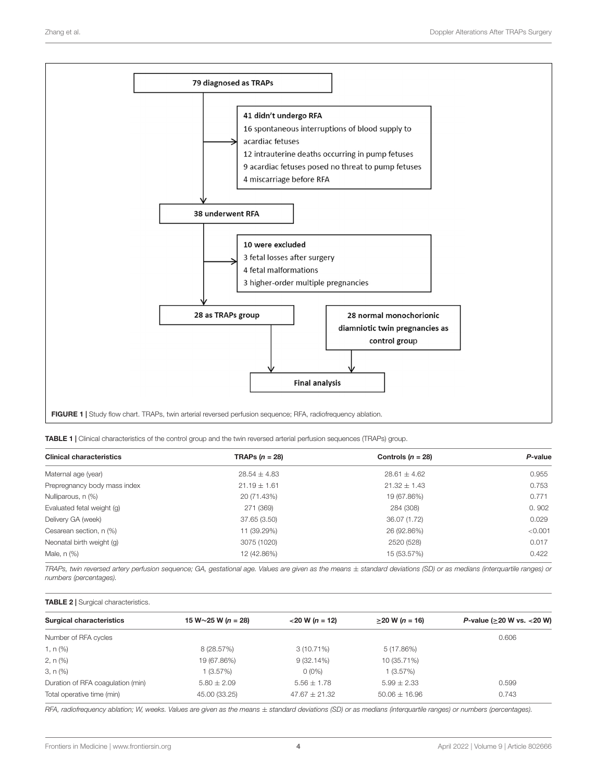

<span id="page-4-1"></span><span id="page-4-0"></span>TABLE 1 | Clinical characteristics of the control group and the twin reversed arterial perfusion sequences (TRAPs) group.

| <b>Clinical characteristics</b> | TRAPs $(n = 28)$ | Controls $(n = 28)$ | P-value |
|---------------------------------|------------------|---------------------|---------|
| Maternal age (year)             | $28.54 \pm 4.83$ | $28.61 \pm 4.62$    | 0.955   |
| Prepregnancy body mass index    | $21.19 \pm 1.61$ | $21.32 \pm 1.43$    | 0.753   |
| Nulliparous, n (%)              | 20 (71.43%)      | 19 (67.86%)         | 0.771   |
| Evaluated fetal weight (g)      | 271 (369)        | 284 (308)           | 0.902   |
| Delivery GA (week)              | 37.65 (3.50)     | 36.07 (1.72)        | 0.029   |
| Cesarean section, n (%)         | 11 (39.29%)      | 26 (92.86%)         | < 0.001 |
| Neonatal birth weight (g)       | 3075 (1020)      | 2520 (528)          | 0.017   |
| Male, n (%)                     | 12 (42.86%)      | 15 (53.57%)         | 0.422   |

TRAPs, twin reversed artery perfusion sequence; GA, gestational age. Values are given as the means ± standard deviations (SD) or as medians (interquartile ranges) or numbers (percentages).

#### <span id="page-4-2"></span>TABLE 2 | Surgical characteristics.

| <b>Surgical characteristics</b>   | 15 W $\sim$ 25 W (n = 28) | $<$ 20 W (n = 12) | $\geq$ 20 W (n = 16) | P-value ( $\geq$ 20 W vs. < 20 W) |
|-----------------------------------|---------------------------|-------------------|----------------------|-----------------------------------|
| Number of RFA cycles              |                           |                   |                      | 0.606                             |
| 1, n (%)                          | 8 (28.57%)                | $3(10.71\%)$      | 5 (17.86%)           |                                   |
| 2, n (%)                          | 19 (67.86%)               | $9(32.14\%)$      | 10 (35.71%)          |                                   |
| $3, n (\%)$                       | 1 (3.57%)                 | $0(0\%)$          | 1(3.57%)             |                                   |
| Duration of RFA coagulation (min) | $5.80 \pm 2.09$           | $5.56 \pm 1.78$   | $5.99 \pm 2.33$      | 0.599                             |
| Total operative time (min)        | 45.00 (33.25)             | $47.67 \pm 21.32$ | $50.06 \pm 16.96$    | 0.743                             |
|                                   |                           |                   |                      |                                   |

RFA, radiofrequency ablation; W, weeks. Values are given as the means ± standard deviations (SD) or as medians (interquartile ranges) or numbers (percentages).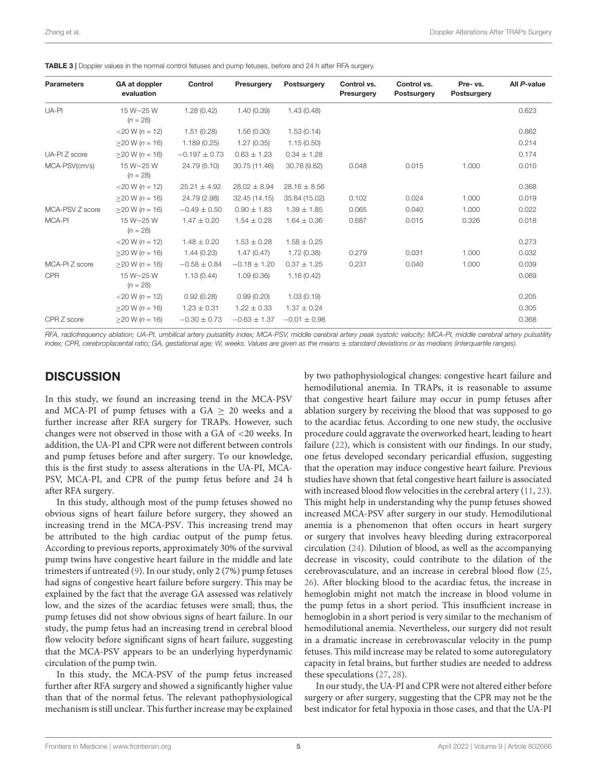| <b>Parameters</b> | GA at doppler<br>evaluation | Control           | Presurgery       | Postsurgery      | Control vs.<br>Presurgery | Control vs.<br>Postsurgery | Pre- vs.<br>Postsurgery | All P-value |
|-------------------|-----------------------------|-------------------|------------------|------------------|---------------------------|----------------------------|-------------------------|-------------|
| UA-PI             | 15 W~25 W<br>$(n = 28)$     | 1.28(0.42)        | 1.40(0.39)       | 1.43(0.48)       |                           |                            |                         | 0.623       |
|                   | $<$ 20 W (n = 12)           | 1.51(0.28)        | 1.56(0.30)       | 1.53(0.14)       |                           |                            |                         | 0.862       |
|                   | $>20 W (n = 16)$            | 1.189(0.25)       | 1.27(0.35)       | 1.15(0.50)       |                           |                            |                         | 0.214       |
| UA-PI Z score     | $>20 W (n = 16)$            | $-0.197 \pm 0.73$ | $0.63 \pm 1.23$  | $0.34 \pm 1.28$  |                           |                            |                         | 0.174       |
| MCA-PSV(cm/s)     | 15 W~25 W<br>$(n = 28)$     | 24.79 (5.10)      | 30.75 (11.46)    | 30.76 (9.62)     | 0.048                     | 0.015                      | 1.000                   | 0.010       |
|                   | $<$ 20 W (n = 12)           | $25.21 \pm 4.92$  | $28.02 \pm 8.94$ | $28.16 \pm 8.56$ |                           |                            |                         | 0.368       |
|                   | $>20 W (n = 16)$            | 24.79 (2.98)      | 32.45 (14.15)    | 35.64 (15.02)    | 0.102                     | 0.024                      | 1.000                   | 0.019       |
| MCA-PSV Z score   | $>20 W (n = 16)$            | $-0.49 \pm 0.50$  | $0.90 \pm 1.83$  | $1.39 \pm 1.85$  | 0.065                     | 0.040                      | 1.000                   | 0.022       |
| MCA-PI            | 15 W~25 W<br>$(n = 28)$     | $1.47 \pm 0.20$   | $1.54 \pm 0.28$  | $1.64 \pm 0.36$  | 0.687                     | 0.015                      | 0.326                   | 0.018       |
|                   | $<$ 20 W (n = 12)           | $1.48 \pm 0.20$   | $1.53 \pm 0.28$  | $1.58 \pm 0.25$  |                           |                            |                         | 0.273       |
|                   | $>20 W (n = 16)$            | 1.44(0.23)        | 1.47(0.47)       | 1.72(0.38)       | 0.279                     | 0.031                      | 1.000                   | 0.032       |
| MCA-PI Z score    | $>20 W (n = 16)$            | $-0.58 \pm 0.84$  | $-0.18 \pm 1.20$ | $0.37 \pm 1.25$  | 0.231                     | 0.040                      | 1.000                   | 0.039       |
| <b>CPR</b>        | 15 W~25 W<br>$(n = 28)$     | 1.13(0.44)        | 1.09(0.36)       | 1.16(0.42)       |                           |                            |                         | 0.069       |
|                   | $<$ 20 W (n = 12)           | 0.92(0.28)        | 0.99(0.20)       | 1.03(0.19)       |                           |                            |                         | 0.205       |
|                   | $>20 W (n = 16)$            | $1.23 \pm 0.31$   | $1.22 \pm 0.33$  | $1.37 \pm 0.24$  |                           |                            |                         | 0.305       |
| CPR Z score       | $>20 W (n = 16)$            | $-0.30 \pm 0.73$  | $-0.63 \pm 1.37$ | $-0.01 \pm 0.98$ |                           |                            |                         | 0.368       |

<span id="page-5-0"></span>TABLE 3 | Doppler values in the normal control fetuses and pump fetuses, before and 24 h after RFA surgery.

RFA, radiofrequency ablation; UA-PI, umbilical artery pulsatility index; MCA-PSV, middle cerebral artery peak systolic velocity; MCA-PI, middle cerebral artery pulsatility index; CPR, cerebroplacental ratio; GA, gestational age; W, weeks. Values are given as the means  $\pm$  standard deviations or as medians (interquartile ranges).

#### **DISCUSSION**

In this study, we found an increasing trend in the MCA-PSV and MCA-PI of pump fetuses with a  $GA > 20$  weeks and a further increase after RFA surgery for TRAPs. However, such changes were not observed in those with a GA of <20 weeks. In addition, the UA-PI and CPR were not different between controls and pump fetuses before and after surgery. To our knowledge, this is the first study to assess alterations in the UA-PI, MCA-PSV, MCA-PI, and CPR of the pump fetus before and 24 h after RFA surgery.

In this study, although most of the pump fetuses showed no obvious signs of heart failure before surgery, they showed an increasing trend in the MCA-PSV. This increasing trend may be attributed to the high cardiac output of the pump fetus. According to previous reports, approximately 30% of the survival pump twins have congestive heart failure in the middle and late trimesters if untreated [\(9\)](#page-7-7). In our study, only 2 (7%) pump fetuses had signs of congestive heart failure before surgery. This may be explained by the fact that the average GA assessed was relatively low, and the sizes of the acardiac fetuses were small; thus, the pump fetuses did not show obvious signs of heart failure. In our study, the pump fetus had an increasing trend in cerebral blood flow velocity before significant signs of heart failure, suggesting that the MCA-PSV appears to be an underlying hyperdynamic circulation of the pump twin.

In this study, the MCA-PSV of the pump fetus increased further after RFA surgery and showed a significantly higher value than that of the normal fetus. The relevant pathophysiological mechanism is still unclear. This further increase may be explained

by two pathophysiological changes: congestive heart failure and hemodilutional anemia. In TRAPs, it is reasonable to assume that congestive heart failure may occur in pump fetuses after ablation surgery by receiving the blood that was supposed to go to the acardiac fetus. According to one new study, the occlusive procedure could aggravate the overworked heart, leading to heart failure [\(22\)](#page-7-20), which is consistent with our findings. In our study, one fetus developed secondary pericardial effusion, suggesting that the operation may induce congestive heart failure. Previous studies have shown that fetal congestive heart failure is associated with increased blood flow velocities in the cerebral artery [\(11,](#page-7-9) [23\)](#page-7-21). This might help in understanding why the pump fetuses showed increased MCA-PSV after surgery in our study. Hemodilutional anemia is a phenomenon that often occurs in heart surgery or surgery that involves heavy bleeding during extracorporeal circulation [\(24\)](#page-7-22). Dilution of blood, as well as the accompanying decrease in viscosity, could contribute to the dilation of the cerebrovasculature, and an increase in cerebral blood flow [\(25,](#page-7-23) [26\)](#page-7-24). After blocking blood to the acardiac fetus, the increase in hemoglobin might not match the increase in blood volume in the pump fetus in a short period. This insufficient increase in hemoglobin in a short period is very similar to the mechanism of hemodilutional anemia. Nevertheless, our surgery did not result in a dramatic increase in cerebrovascular velocity in the pump fetuses. This mild increase may be related to some autoregulatory capacity in fetal brains, but further studies are needed to address these speculations [\(27,](#page-7-25) [28\)](#page-7-26).

In our study, the UA-PI and CPR were not altered either before surgery or after surgery, suggesting that the CPR may not be the best indicator for fetal hypoxia in those cases, and that the UA-PI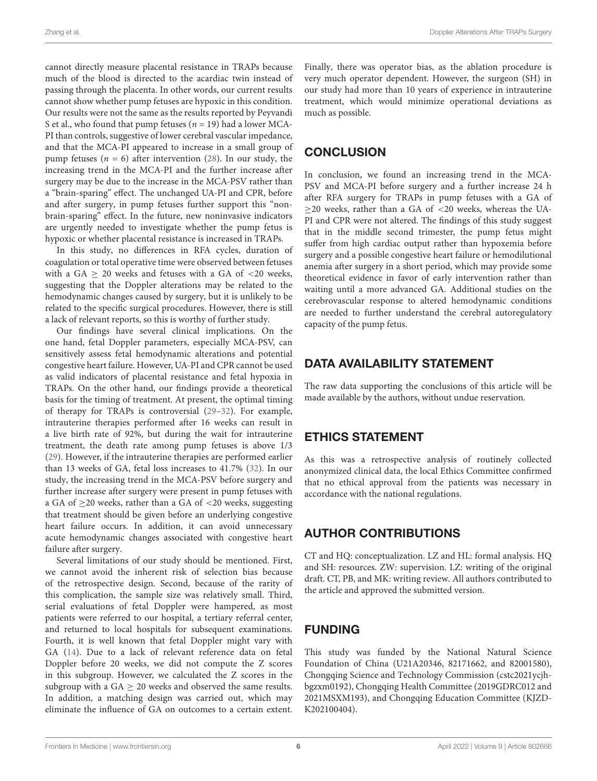cannot directly measure placental resistance in TRAPs because much of the blood is directed to the acardiac twin instead of passing through the placenta. In other words, our current results cannot show whether pump fetuses are hypoxic in this condition. Our results were not the same as the results reported by Peyvandi S et al., who found that pump fetuses ( $n = 19$ ) had a lower MCA-PI than controls, suggestive of lower cerebral vascular impedance, and that the MCA-PI appeared to increase in a small group of pump fetuses ( $n = 6$ ) after intervention [\(28\)](#page-7-26). In our study, the increasing trend in the MCA-PI and the further increase after surgery may be due to the increase in the MCA-PSV rather than a "brain-sparing" effect. The unchanged UA-PI and CPR, before and after surgery, in pump fetuses further support this "nonbrain-sparing" effect. In the future, new noninvasive indicators are urgently needed to investigate whether the pump fetus is hypoxic or whether placental resistance is increased in TRAPs.

In this study, no differences in RFA cycles, duration of coagulation or total operative time were observed between fetuses with a GA  $\geq$  20 weeks and fetuses with a GA of <20 weeks, suggesting that the Doppler alterations may be related to the hemodynamic changes caused by surgery, but it is unlikely to be related to the specific surgical procedures. However, there is still a lack of relevant reports, so this is worthy of further study.

Our findings have several clinical implications. On the one hand, fetal Doppler parameters, especially MCA-PSV, can sensitively assess fetal hemodynamic alterations and potential congestive heart failure. However, UA-PI and CPR cannot be used as valid indicators of placental resistance and fetal hypoxia in TRAPs. On the other hand, our findings provide a theoretical basis for the timing of treatment. At present, the optimal timing of therapy for TRAPs is controversial [\(29–](#page-7-27)[32\)](#page-7-28). For example, intrauterine therapies performed after 16 weeks can result in a live birth rate of 92%, but during the wait for intrauterine treatment, the death rate among pump fetuses is above 1/3 [\(29\)](#page-7-27). However, if the intrauterine therapies are performed earlier than 13 weeks of GA, fetal loss increases to 41.7% [\(32\)](#page-7-28). In our study, the increasing trend in the MCA-PSV before surgery and further increase after surgery were present in pump fetuses with a GA of  $\geq$ 20 weeks, rather than a GA of <20 weeks, suggesting that treatment should be given before an underlying congestive heart failure occurs. In addition, it can avoid unnecessary acute hemodynamic changes associated with congestive heart failure after surgery.

Several limitations of our study should be mentioned. First, we cannot avoid the inherent risk of selection bias because of the retrospective design. Second, because of the rarity of this complication, the sample size was relatively small. Third, serial evaluations of fetal Doppler were hampered, as most patients were referred to our hospital, a tertiary referral center, and returned to local hospitals for subsequent examinations. Fourth, it is well known that fetal Doppler might vary with GA [\(14\)](#page-7-12). Due to a lack of relevant reference data on fetal Doppler before 20 weeks, we did not compute the Z scores in this subgroup. However, we calculated the Z scores in the subgroup with a  $GA \geq 20$  weeks and observed the same results. In addition, a matching design was carried out, which may eliminate the influence of GA on outcomes to a certain extent.

Finally, there was operator bias, as the ablation procedure is very much operator dependent. However, the surgeon (SH) in our study had more than 10 years of experience in intrauterine treatment, which would minimize operational deviations as much as possible.

## **CONCLUSION**

In conclusion, we found an increasing trend in the MCA-PSV and MCA-PI before surgery and a further increase 24 h after RFA surgery for TRAPs in pump fetuses with a GA of ≥20 weeks, rather than a GA of <20 weeks, whereas the UA-PI and CPR were not altered. The findings of this study suggest that in the middle second trimester, the pump fetus might suffer from high cardiac output rather than hypoxemia before surgery and a possible congestive heart failure or hemodilutional anemia after surgery in a short period, which may provide some theoretical evidence in favor of early intervention rather than waiting until a more advanced GA. Additional studies on the cerebrovascular response to altered hemodynamic conditions are needed to further understand the cerebral autoregulatory capacity of the pump fetus.

## DATA AVAILABILITY STATEMENT

The raw data supporting the conclusions of this article will be made available by the authors, without undue reservation.

## ETHICS STATEMENT

As this was a retrospective analysis of routinely collected anonymized clinical data, the local Ethics Committee confirmed that no ethical approval from the patients was necessary in accordance with the national regulations.

## AUTHOR CONTRIBUTIONS

CT and HQ: conceptualization. LZ and HL: formal analysis. HQ and SH: resources. ZW: supervision. LZ: writing of the original draft. CT, PB, and MK: writing review. All authors contributed to the article and approved the submitted version.

## FUNDING

This study was funded by the National Natural Science Foundation of China (U21A20346, 82171662, and 82001580), Chongqing Science and Technology Commission (cstc2021ycjhbgzxm0192), Chongqing Health Committee (2019GDRC012 and 2021MSXM193), and Chongqing Education Committee (KJZD-K202100404).